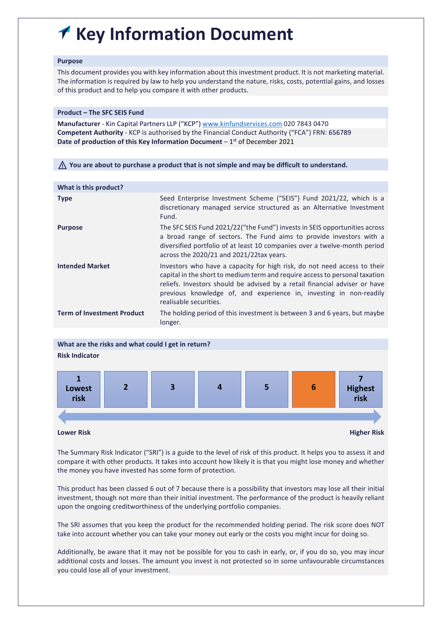# **Key Information Document**

# **Purpose**

This document provides you with key information about this investment product. It is not marketing material. The information is required by law to help you understand the nature, risks, costs, potential gains, and losses of this product and to help you compare it with other products.

# **Product – The SFC SEIS Fund**

**Manufacturer** - Kin Capital Partners LLP ("KCP") [www.kinfundservices.com](http://www.kinfundservices.com/) 020 7843 0470 **Competent Authority** - KCP is authorised by the Financial Conduct Authority ("FCA") FRN: 656789 Date of production of this Key Information Document - 1<sup>st</sup> of December 2021

⚠ **You are about to purchase a product that is not simple and may be difficult to understand.**

| What is this product?             |                                                                                                                                                                                                                                                                                                                                       |
|-----------------------------------|---------------------------------------------------------------------------------------------------------------------------------------------------------------------------------------------------------------------------------------------------------------------------------------------------------------------------------------|
| <b>Type</b>                       | Seed Enterprise Investment Scheme ("SEIS") Fund 2021/22, which is a<br>discretionary managed service structured as an Alternative Investment<br>Fund.                                                                                                                                                                                 |
| <b>Purpose</b>                    | The SFC SEIS Fund 2021/22("the Fund") invests in SEIS opportunities across<br>a broad range of sectors. The Fund aims to provide investors with a<br>diversified portfolio of at least 10 companies over a twelve-month period<br>across the 2020/21 and 2021/22tax years.                                                            |
| <b>Intended Market</b>            | Investors who have a capacity for high risk, do not need access to their<br>capital in the short to medium term and require access to personal taxation<br>reliefs. Investors should be advised by a retail financial adviser or have<br>previous knowledge of, and experience in, investing in non-readily<br>realisable securities. |
| <b>Term of Investment Product</b> | The holding period of this investment is between 3 and 6 years, but maybe<br>longer.                                                                                                                                                                                                                                                  |
|                                   |                                                                                                                                                                                                                                                                                                                                       |



**Lower Risk Higher Risk**

The Summary Risk Indicator ("SRI") is a guide to the level of risk of this product. It helps you to assess it and compare it with other products. It takes into account how likely it is that you might lose money and whether the money you have invested has some form of protection.

This product has been classed 6 out of 7 because there is a possibility that investors may lose all their initial investment, though not more than their initial investment. The performance of the product is heavily reliant upon the ongoing creditworthiness of the underlying portfolio companies.

The SRI assumes that you keep the product for the recommended holding period. The risk score does NOT take into account whether you can take your money out early or the costs you might incur for doing so.

Additionally, be aware that it may not be possible for you to cash in early, or, if you do so, you may incur additional costs and losses. The amount you invest is not protected so in some unfavourable circumstances you could lose all of your investment.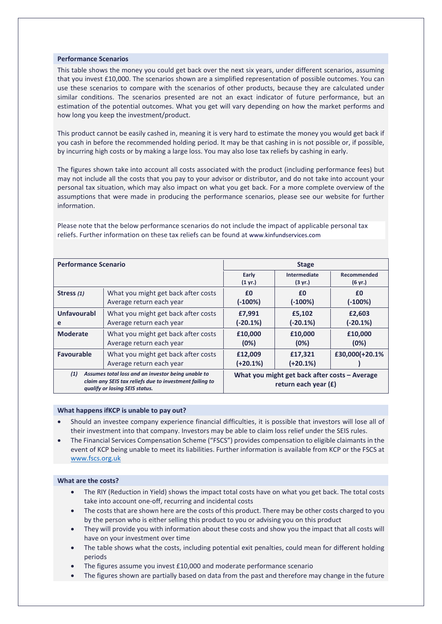## **Performance Scenarios**

This table shows the money you could get back over the next six years, under different scenarios, assuming that you invest £10,000. The scenarios shown are a simplified representation of possible outcomes. You can use these scenarios to compare with the scenarios of other products, because they are calculated under similar conditions. The scenarios presented are not an exact indicator of future performance, but an estimation of the potential outcomes. What you get will vary depending on how the market performs and how long you keep the investment/product.

This product cannot be easily cashed in, meaning it is very hard to estimate the money you would get back if you cash in before the recommended holding period. It may be that cashing in is not possible or, if possible, by incurring high costs or by making a large loss. You may also lose tax reliefs by cashing in early.

The figures shown take into account all costs associated with the product (including performance fees) but may not include all the costs that you pay to your advisor or distributor, and do not take into account your personal tax situation, which may also impact on what you get back. For a more complete overview of the assumptions that were made in producing the performance scenarios, please see our website for further information.

| <b>Performance Scenario</b>                                                                                                                            |                                                                 | <b>Stage</b>               |                                                                         |                        |  |
|--------------------------------------------------------------------------------------------------------------------------------------------------------|-----------------------------------------------------------------|----------------------------|-------------------------------------------------------------------------|------------------------|--|
|                                                                                                                                                        |                                                                 | Early<br>$(1 \text{ yr.})$ | Intermediate<br>$(3 \text{ yr.})$                                       | Recommended<br>(6 yr.) |  |
| Stress (1)                                                                                                                                             | What you might get back after costs<br>Average return each year | £0<br>$(-100%)$            | £0<br>$(-100%)$                                                         | £0<br>$(-100%)$        |  |
| Unfavourabl<br>е                                                                                                                                       | What you might get back after costs<br>Average return each year | £7,991<br>$(-20.1\%)$      | £5,102<br>$(-20.1\%)$                                                   | £2,603<br>$(-20.1\%)$  |  |
| <b>Moderate</b>                                                                                                                                        | What you might get back after costs<br>Average return each year | £10,000<br>(0%)            | £10,000<br>(0%)                                                         | £10,000<br>(0%)        |  |
| <b>Favourable</b>                                                                                                                                      | What you might get back after costs<br>Average return each year | £12,009<br>$(+20.1%)$      | £17,321<br>$(+20.1\%)$                                                  | £30,000(+20.1%         |  |
| (1)<br>Assumes total loss and an investor being unable to<br>claim any SEIS tax reliefs due to investment failing to<br>qualify or losing SEIS status. |                                                                 |                            | What you might get back after costs - Average<br>return each year $(f)$ |                        |  |

Please note that the below performance scenarios do not include the impact of applicable personal tax reliefs. Further information on these tax reliefs can be found a[t www.kinfundservices.com](http://www.kinfundservices.com/)

#### **What happens ifKCP is unable to pay out?**

- Should an investee company experience financial difficulties, it is possible that investors will lose all of their investment into that company. Investors may be able to claim loss relief under the SEIS rules.
- The Financial Services Compensation Scheme ("FSCS") provides compensation to eligible claimants in the event of KCP being unable to meet its liabilities. Further information is available from KCP or the FSCS at [www.fscs.org.uk](http://www.fscs.org.uk/)

#### **What are the costs?**

- The RIY (Reduction in Yield) shows the impact total costs have on what you get back. The total costs take into account one-off, recurring and incidental costs
- The costs that are shown here are the costs of this product. There may be other costs charged to you by the person who is either selling this product to you or advising you on this product
- They will provide you with information about these costs and show you the impact that all costs will have on your investment over time
- The table shows what the costs, including potential exit penalties, could mean for different holding periods
- The figures assume you invest £10,000 and moderate performance scenario
- The figures shown are partially based on data from the past and therefore may change in the future